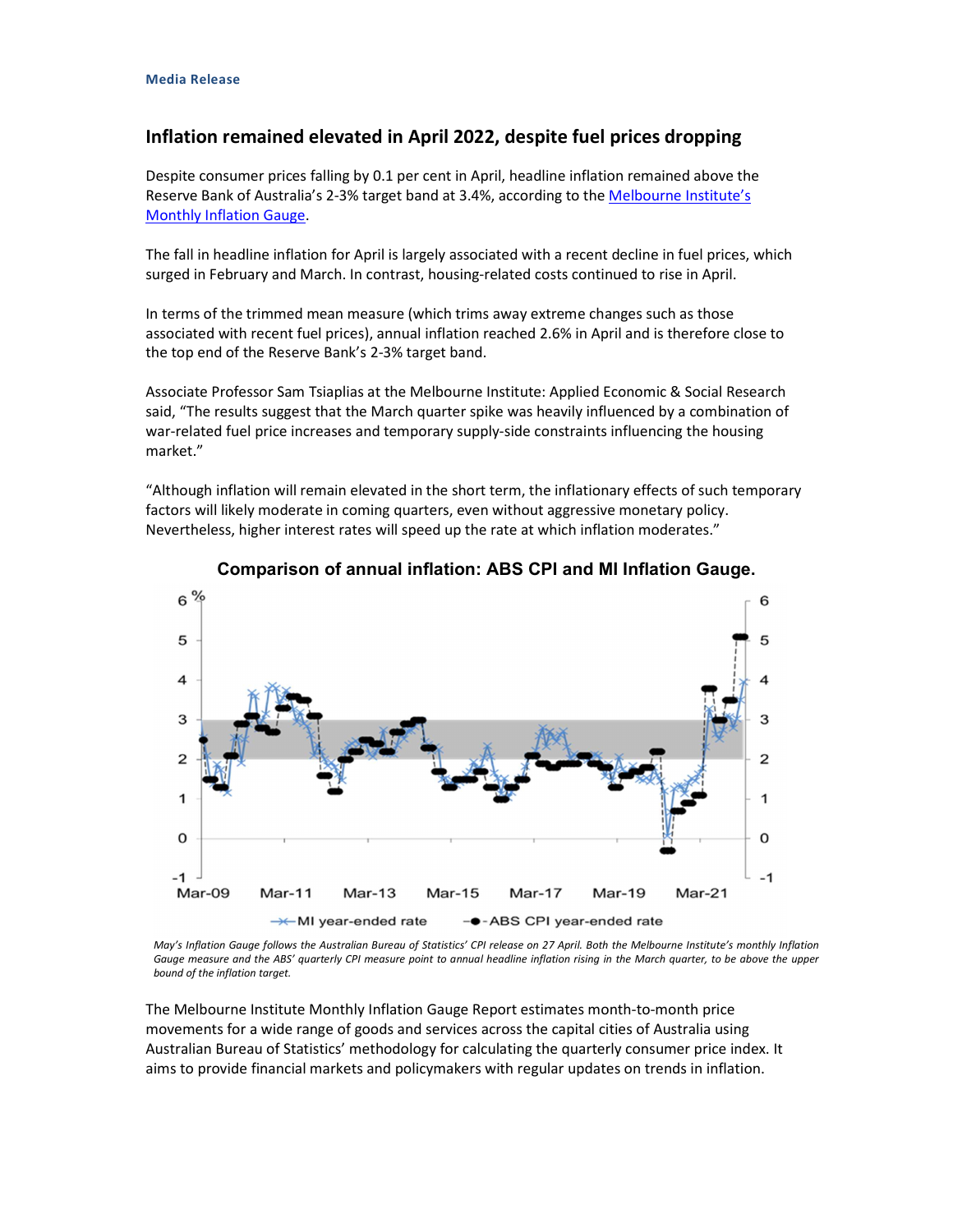## Inflation remained elevated in April 2022, despite fuel prices dropping

Despite consumer prices falling by 0.1 per cent in April, headline inflation remained above the Reserve Bank of Australia's 2-3% target band at 3.4%, according to the Melbourne Institute's

Monthly Inflation Gauge.<br>The fall in headline inflation for April is largely associated with a recent decline in fuel prices, which surged in February and March. In contrast, housing-related costs continued to rise in April.

In terms of the trimmed mean measure (which trims away extreme changes such as those associated with recent fuel prices), annual inflation reached 2.6% in April and is therefore close to the top end of the Reserve Bank's 2-3% target band.

Associate Professor Sam Tsiaplias at the Melbourne Institute: Applied Economic & Social Research said, "The results suggest that the March quarter spike was heavily influenced by a combination of war-related fuel price increases and temporary supply-side constraints influencing the housing market."

"Although inflation will remain elevated in the short term, the inflationary effects of such temporary factors will likely moderate in coming quarters, even without aggressive monetary policy. Nevertheless, higher interest rates will speed up the rate at which inflation moderates."



## Comparison of annual inflation: ABS CPI and MI Inflation Gauge.

May's Inflation Gauge follows the Australian Bureau of Statistics' CPI release on 27 April. Both the Melbourne Institute's monthly Inflation Gauge measure and the ABS' quarterly CPI measure point to annual headline inflation rising in the March quarter, to be above the upper bound of the inflation target.

The Melbourne Institute Monthly Inflation Gauge Report estimates month-to-month price movements for a wide range of goods and services across the capital cities of Australia using Australian Bureau of Statistics' methodology for calculating the quarterly consumer price index. It aims to provide financial markets and policymakers with regular updates on trends in inflation.